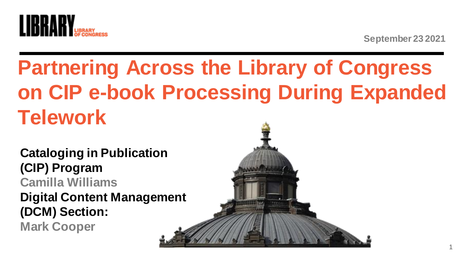

# **Partnering Across the Library of Congress on CIP e-book Processing During Expanded Telework**

**Cataloging in Publication (CIP) Program Camilla Williams Digital Content Management (DCM) Section: Mark Cooper**

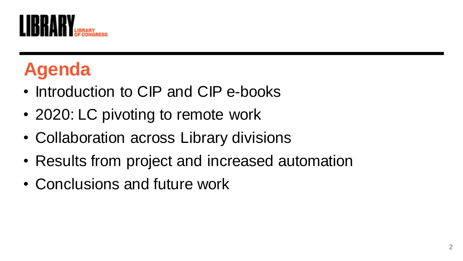

# **Agenda**

- Introduction to CIP and CIP e-books
- 2020: LC pivoting to remote work
- Collaboration across Library divisions
- Results from project and increased automation
- Conclusions and future work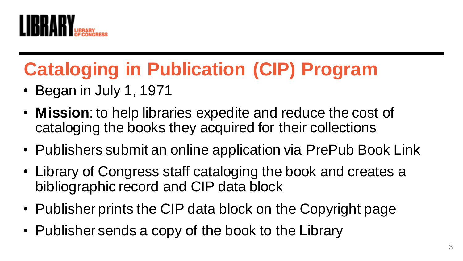

# **Cataloging in Publication (CIP) Program**

- Began in July 1, 1971
- **Mission**: to help libraries expedite and reduce the cost of cataloging the books they acquired for their collections
- Publishers submit an online application via PrePub Book Link
- Library of Congress staff cataloging the book and creates a bibliographic record and CIP data block
- Publisher prints the CIP data block on the Copyright page
- Publisher sends a copy of the book to the Library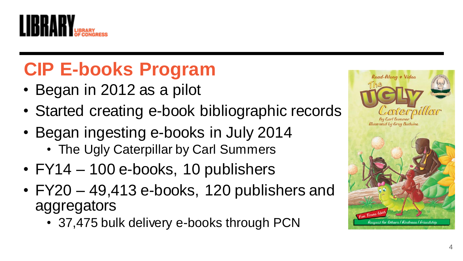

### **CIP E-books Program**

- Began in 2012 as a pilot
- Started creating e-book bibliographic records
- Began ingesting e-books in July 2014 • The Ugly Caterpillar by Carl Summers
- FY14 100 e-books, 10 publishers
- FY20 49,413 e-books, 120 publishers and aggregators
	- 37,475 bulk delivery e-books through PCN

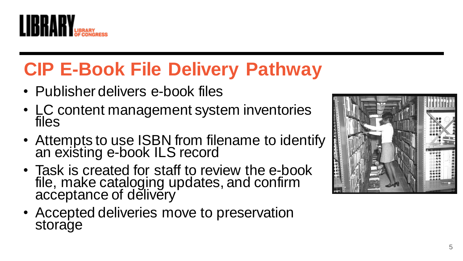

# **CIP E -Book File Delivery Pathway**

- Publisher delivers e -book files
- LC content management system inventories files
- Attempts to use ISBN from filename to identify an existing e -book ILS record
- Task is created for staff to review the e-book file, make cataloging updates, and confirm acceptance of delivery'
- Accepted deliveries move to preservation storage

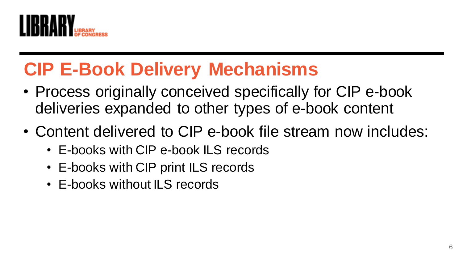

### **CIP E-Book Delivery Mechanisms**

- Process originally conceived specifically for CIP e-book deliveries expanded to other types of e-book content
- Content delivered to CIP e-book file stream now includes:
	- E-books with CIP e-book ILS records
	- E-books with CIP print ILS records
	- E-books without ILS records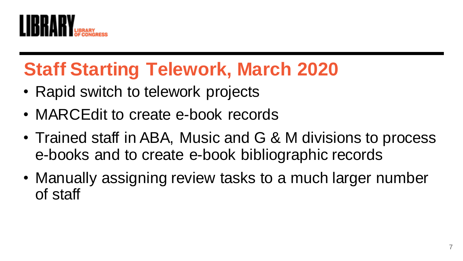

### **Staff Starting Telework, March 2020**

- Rapid switch to telework projects
- MARCEdit to create e-book records
- Trained staff in ABA, Music and G & M divisions to process e-books and to create e-book bibliographic records
- Manually assigning review tasks to a much larger number of staff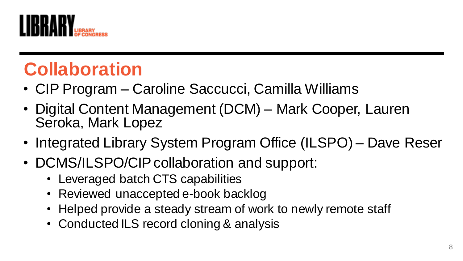

### **Collaboration**

- CIP Program Caroline Saccucci, Camilla Williams
- Digital Content Management (DCM) Mark Cooper, Lauren Seroka, Mark Lopez
- Integrated Library System Program Office (ILSPO) Dave Reser
- DCMS/ILSPO/CIP collaboration and support:
	- Leveraged batch CTS capabilities
	- Reviewed unaccepted e-book backlog
	- Helped provide a steady stream of work to newly remote staff
	- Conducted ILS record cloning & analysis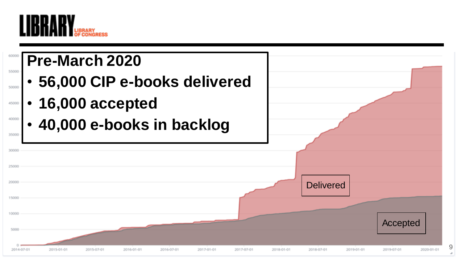

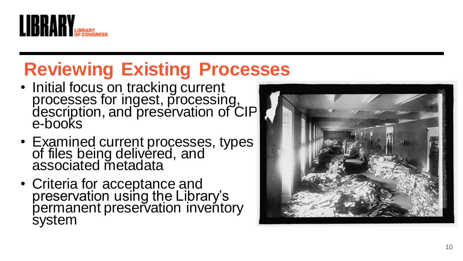

# **Reviewing Existing Processes**

- Initial focus on tracking current processes for ingest, processing, description, and preservation of CIP<br>e-books
- Examined current processes, types of files being delivered, and associated metadata
- Criteria for acceptance and preservation using the Library's permanent preservation inventory system

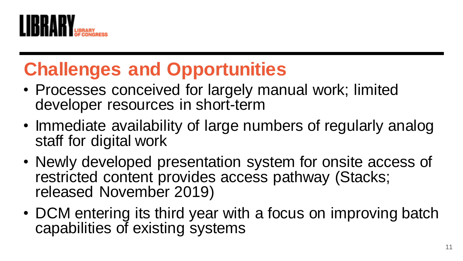

### **Challenges and Opportunities**

- Processes conceived for largely manual work; limited developer resources in short-term
- Immediate availability of large numbers of regularly analog staff for digital work
- Newly developed presentation system for onsite access of restricted content provides access pathway (Stacks; released November 2019)
- DCM entering its third year with a focus on improving batch capabilities of existing systems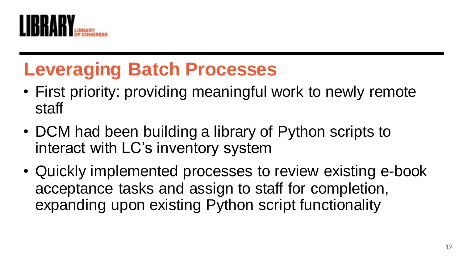

### **Leveraging Batch Processes**

- First priority: providing meaningful work to newly remote staff
- DCM had been building a library of Python scripts to interact with LC's inventory system
- Quickly implemented processes to review existing e-book acceptance tasks and assign to staff for completion, expanding upon existing Python script functionality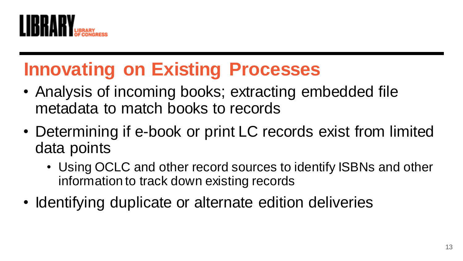

### **Innovating on Existing Processes**

- Analysis of incoming books; extracting embedded file metadata to match books to records
- Determining if e-book or print LC records exist from limited data points
	- Using OCLC and other record sources to identify ISBNs and other information to track down existing records
- Identifying duplicate or alternate edition deliveries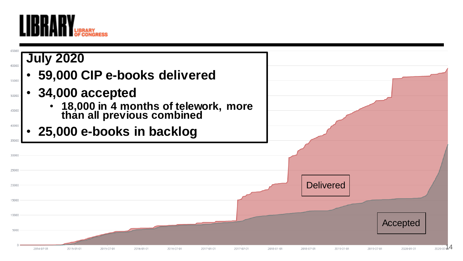

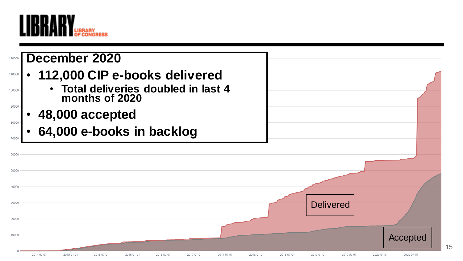![](_page_14_Picture_0.jpeg)

![](_page_14_Figure_1.jpeg)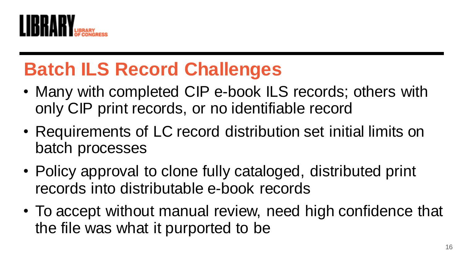![](_page_15_Picture_0.jpeg)

# **Batch ILS Record Challenges**

- Many with completed CIP e-book ILS records; others with only CIP print records, or no identifiable record
- Requirements of LC record distribution set initial limits on batch processes
- Policy approval to clone fully cataloged, distributed print records into distributable e-book records
- To accept without manual review, need high confidence that the file was what it purported to be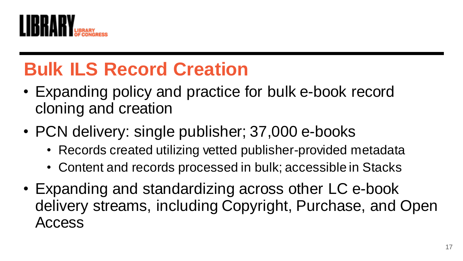![](_page_16_Picture_0.jpeg)

# **Bulk ILS Record Creation**

- Expanding policy and practice for bulk e-book record cloning and creation
- PCN delivery: single publisher; 37,000 e-books
	- Records created utilizing vetted publisher-provided metadata
	- Content and records processed in bulk; accessible in Stacks
- Expanding and standardizing across other LC e-book delivery streams, including Copyright, Purchase, and Open Access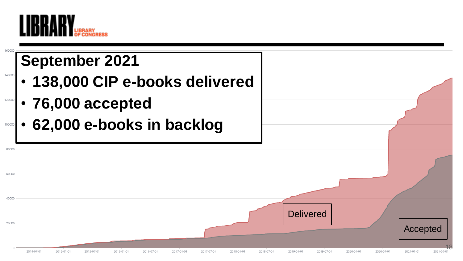![](_page_17_Picture_0.jpeg)

![](_page_17_Figure_1.jpeg)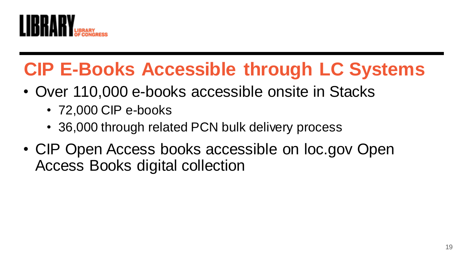![](_page_18_Picture_0.jpeg)

### **CIP E-Books Accessible through LC Systems**

- Over 110,000 e-books accessible onsite in Stacks
	- 72,000 CIP e-books
	- 36,000 through related PCN bulk delivery process
- CIP Open Access books accessible on loc.gov Open Access Books digital collection